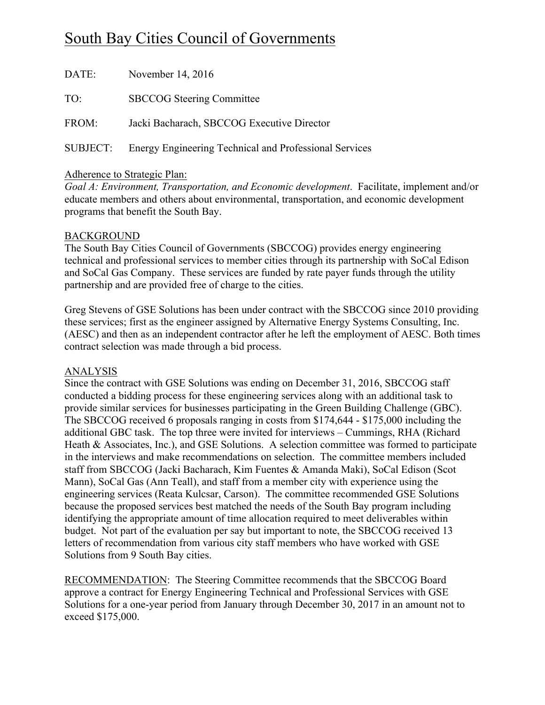# South Bay Cities Council of Governments

| DATE: | November $14, 2016$                                             |
|-------|-----------------------------------------------------------------|
| TO:   | <b>SBCCOG</b> Steering Committee                                |
| FROM: | Jacki Bacharach, SBCCOG Executive Director                      |
|       | SUBJECT: Energy Engineering Technical and Professional Services |

# Adherence to Strategic Plan:

*Goal A: Environment, Transportation, and Economic development*. Facilitate, implement and/or educate members and others about environmental, transportation, and economic development programs that benefit the South Bay.

## BACKGROUND

The South Bay Cities Council of Governments (SBCCOG) provides energy engineering technical and professional services to member cities through its partnership with SoCal Edison and SoCal Gas Company. These services are funded by rate payer funds through the utility partnership and are provided free of charge to the cities.

Greg Stevens of GSE Solutions has been under contract with the SBCCOG since 2010 providing these services; first as the engineer assigned by Alternative Energy Systems Consulting, Inc. (AESC) and then as an independent contractor after he left the employment of AESC. Both times contract selection was made through a bid process.

## ANALYSIS

Since the contract with GSE Solutions was ending on December 31, 2016, SBCCOG staff conducted a bidding process for these engineering services along with an additional task to provide similar services for businesses participating in the Green Building Challenge (GBC). The SBCCOG received 6 proposals ranging in costs from \$174,644 - \$175,000 including the additional GBC task. The top three were invited for interviews – Cummings, RHA (Richard Heath & Associates, Inc.), and GSE Solutions. A selection committee was formed to participate in the interviews and make recommendations on selection. The committee members included staff from SBCCOG (Jacki Bacharach, Kim Fuentes & Amanda Maki), SoCal Edison (Scot Mann), SoCal Gas (Ann Teall), and staff from a member city with experience using the engineering services (Reata Kulcsar, Carson). The committee recommended GSE Solutions because the proposed services best matched the needs of the South Bay program including identifying the appropriate amount of time allocation required to meet deliverables within budget. Not part of the evaluation per say but important to note, the SBCCOG received 13 letters of recommendation from various city staff members who have worked with GSE Solutions from 9 South Bay cities.

RECOMMENDATION: The Steering Committee recommends that the SBCCOG Board approve a contract for Energy Engineering Technical and Professional Services with GSE Solutions for a one-year period from January through December 30, 2017 in an amount not to exceed \$175,000.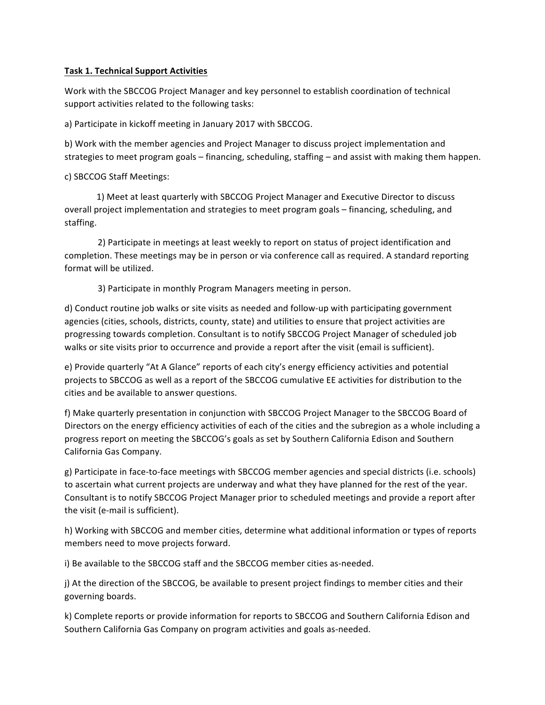### **Task 1. Technical Support Activities**

Work with the SBCCOG Project Manager and key personnel to establish coordination of technical support activities related to the following tasks:

a) Participate in kickoff meeting in January 2017 with SBCCOG.

b) Work with the member agencies and Project Manager to discuss project implementation and strategies to meet program goals – financing, scheduling, staffing – and assist with making them happen.

c) SBCCOG Staff Meetings:

1) Meet at least quarterly with SBCCOG Project Manager and Executive Director to discuss overall project implementation and strategies to meet program goals – financing, scheduling, and staffing.

2) Participate in meetings at least weekly to report on status of project identification and completion. These meetings may be in person or via conference call as required. A standard reporting format will be utilized.

3) Participate in monthly Program Managers meeting in person.

d) Conduct routine job walks or site visits as needed and follow-up with participating government agencies (cities, schools, districts, county, state) and utilities to ensure that project activities are progressing towards completion. Consultant is to notify SBCCOG Project Manager of scheduled job walks or site visits prior to occurrence and provide a report after the visit (email is sufficient).

e) Provide quarterly "At A Glance" reports of each city's energy efficiency activities and potential projects to SBCCOG as well as a report of the SBCCOG cumulative EE activities for distribution to the cities and be available to answer questions.

f) Make quarterly presentation in conjunction with SBCCOG Project Manager to the SBCCOG Board of Directors on the energy efficiency activities of each of the cities and the subregion as a whole including a progress report on meeting the SBCCOG's goals as set by Southern California Edison and Southern California Gas Company.

g) Participate in face-to-face meetings with SBCCOG member agencies and special districts (i.e. schools) to ascertain what current projects are underway and what they have planned for the rest of the year. Consultant is to notify SBCCOG Project Manager prior to scheduled meetings and provide a report after the visit (e-mail is sufficient).

h) Working with SBCCOG and member cities, determine what additional information or types of reports members need to move projects forward.

i) Be available to the SBCCOG staff and the SBCCOG member cities as-needed.

j) At the direction of the SBCCOG, be available to present project findings to member cities and their governing boards.

k) Complete reports or provide information for reports to SBCCOG and Southern California Edison and Southern California Gas Company on program activities and goals as-needed.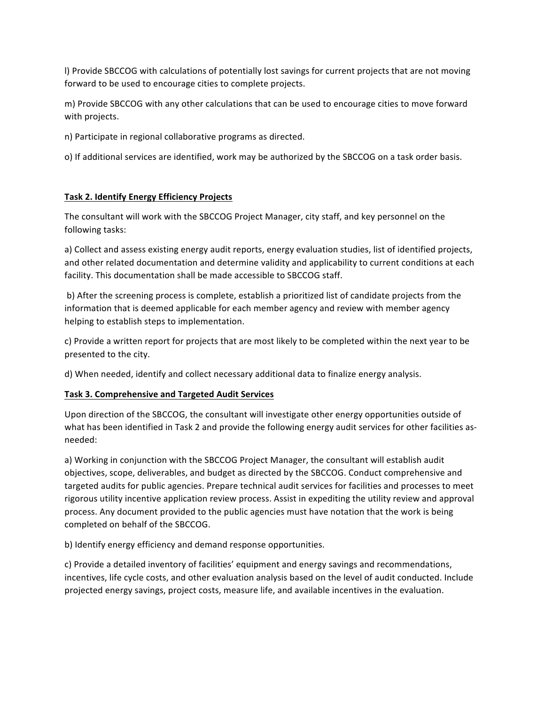I) Provide SBCCOG with calculations of potentially lost savings for current projects that are not moving forward to be used to encourage cities to complete projects.

m) Provide SBCCOG with any other calculations that can be used to encourage cities to move forward with projects.

n) Participate in regional collaborative programs as directed.

o) If additional services are identified, work may be authorized by the SBCCOG on a task order basis.

## **Task 2. Identify Energy Efficiency Projects**

The consultant will work with the SBCCOG Project Manager, city staff, and key personnel on the following tasks:

a) Collect and assess existing energy audit reports, energy evaluation studies, list of identified projects, and other related documentation and determine validity and applicability to current conditions at each facility. This documentation shall be made accessible to SBCCOG staff.

b) After the screening process is complete, establish a prioritized list of candidate projects from the information that is deemed applicable for each member agency and review with member agency helping to establish steps to implementation.

c) Provide a written report for projects that are most likely to be completed within the next year to be presented to the city.

d) When needed, identify and collect necessary additional data to finalize energy analysis.

### **Task 3. Comprehensive and Targeted Audit Services**

Upon direction of the SBCCOG, the consultant will investigate other energy opportunities outside of what has been identified in Task 2 and provide the following energy audit services for other facilities asneeded: 

a) Working in conjunction with the SBCCOG Project Manager, the consultant will establish audit objectives, scope, deliverables, and budget as directed by the SBCCOG. Conduct comprehensive and targeted audits for public agencies. Prepare technical audit services for facilities and processes to meet rigorous utility incentive application review process. Assist in expediting the utility review and approval process. Any document provided to the public agencies must have notation that the work is being completed on behalf of the SBCCOG.

b) Identify energy efficiency and demand response opportunities.

c) Provide a detailed inventory of facilities' equipment and energy savings and recommendations, incentives, life cycle costs, and other evaluation analysis based on the level of audit conducted. Include projected energy savings, project costs, measure life, and available incentives in the evaluation.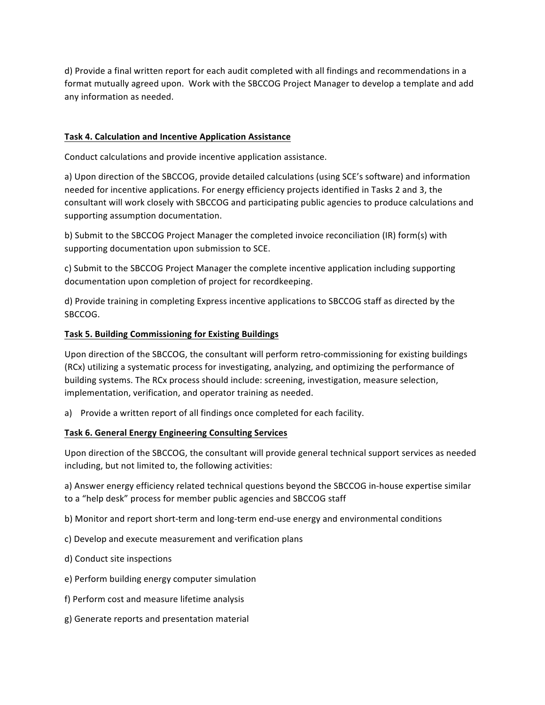d) Provide a final written report for each audit completed with all findings and recommendations in a format mutually agreed upon. Work with the SBCCOG Project Manager to develop a template and add any information as needed.

#### **Task 4. Calculation and Incentive Application Assistance**

Conduct calculations and provide incentive application assistance.

a) Upon direction of the SBCCOG, provide detailed calculations (using SCE's software) and information needed for incentive applications. For energy efficiency projects identified in Tasks 2 and 3, the consultant will work closely with SBCCOG and participating public agencies to produce calculations and supporting assumption documentation.

b) Submit to the SBCCOG Project Manager the completed invoice reconciliation (IR) form(s) with supporting documentation upon submission to SCE.

c) Submit to the SBCCOG Project Manager the complete incentive application including supporting documentation upon completion of project for recordkeeping.

d) Provide training in completing Express incentive applications to SBCCOG staff as directed by the SBCCOG. 

#### **Task 5. Building Commissioning for Existing Buildings**

Upon direction of the SBCCOG, the consultant will perform retro-commissioning for existing buildings (RCx) utilizing a systematic process for investigating, analyzing, and optimizing the performance of building systems. The RCx process should include: screening, investigation, measure selection, implementation, verification, and operator training as needed.

a) Provide a written report of all findings once completed for each facility.

### **Task 6. General Energy Engineering Consulting Services**

Upon direction of the SBCCOG, the consultant will provide general technical support services as needed including, but not limited to, the following activities:

a) Answer energy efficiency related technical questions beyond the SBCCOG in-house expertise similar to a "help desk" process for member public agencies and SBCCOG staff

b) Monitor and report short-term and long-term end-use energy and environmental conditions

- c) Develop and execute measurement and verification plans
- d) Conduct site inspections
- e) Perform building energy computer simulation
- f) Perform cost and measure lifetime analysis
- g) Generate reports and presentation material